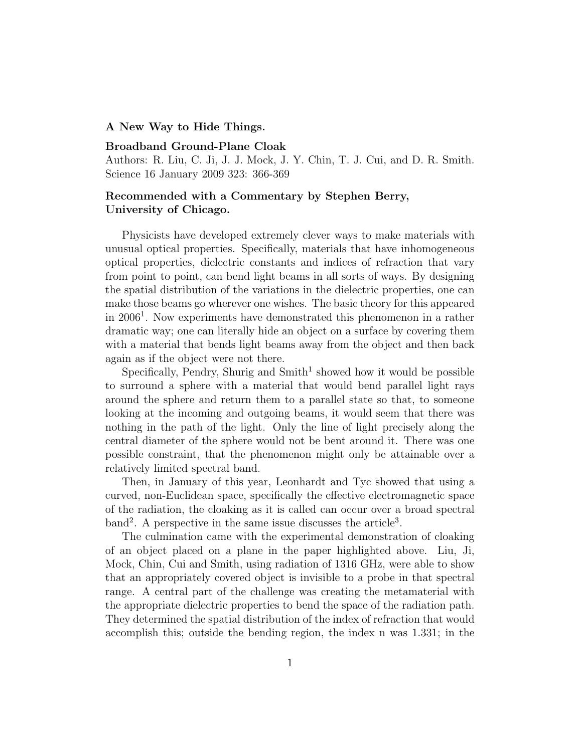## A New Way to Hide Things.

## Broadband Ground-Plane Cloak

Authors: R. Liu, C. Ji, J. J. Mock, J. Y. Chin, T. J. Cui, and D. R. Smith. Science 16 January 2009 323: 366-369

## Recommended with a Commentary by Stephen Berry, University of Chicago.

Physicists have developed extremely clever ways to make materials with unusual optical properties. Specifically, materials that have inhomogeneous optical properties, dielectric constants and indices of refraction that vary from point to point, can bend light beams in all sorts of ways. By designing the spatial distribution of the variations in the dielectric properties, one can make those beams go wherever one wishes. The basic theory for this appeared in 2006<sup>1</sup> . Now experiments have demonstrated this phenomenon in a rather dramatic way; one can literally hide an object on a surface by covering them with a material that bends light beams away from the object and then back again as if the object were not there.

Specifically, Pendry, Shurig and  $Smith<sup>1</sup>$  showed how it would be possible to surround a sphere with a material that would bend parallel light rays around the sphere and return them to a parallel state so that, to someone looking at the incoming and outgoing beams, it would seem that there was nothing in the path of the light. Only the line of light precisely along the central diameter of the sphere would not be bent around it. There was one possible constraint, that the phenomenon might only be attainable over a relatively limited spectral band.

Then, in January of this year, Leonhardt and Tyc showed that using a curved, non-Euclidean space, specifically the effective electromagnetic space of the radiation, the cloaking as it is called can occur over a broad spectral band<sup>2</sup>. A perspective in the same issue discusses the article<sup>3</sup>.

The culmination came with the experimental demonstration of cloaking of an object placed on a plane in the paper highlighted above. Liu, Ji, Mock, Chin, Cui and Smith, using radiation of 1316 GHz, were able to show that an appropriately covered object is invisible to a probe in that spectral range. A central part of the challenge was creating the metamaterial with the appropriate dielectric properties to bend the space of the radiation path. They determined the spatial distribution of the index of refraction that would accomplish this; outside the bending region, the index n was 1.331; in the